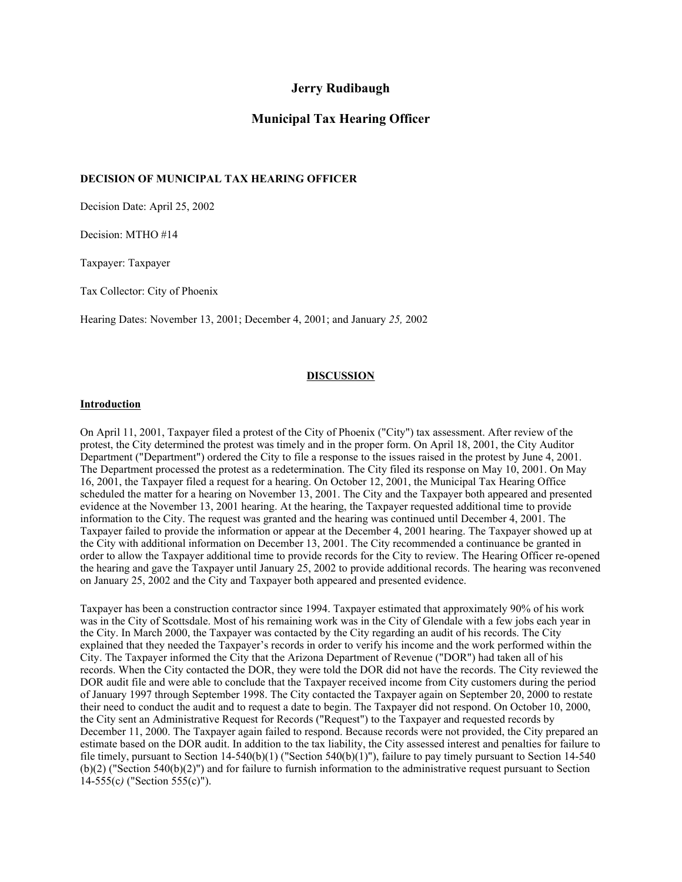## **Jerry Rudibaugh**

## **Municipal Tax Hearing Officer**

### **DECISION OF MUNICIPAL TAX HEARING OFFICER**

Decision Date: April 25, 2002

Decision: MTHO #14

Taxpayer: Taxpayer

Tax Collector: City of Phoenix

Hearing Dates: November 13, 2001; December 4, 2001; and January *25,* 2002

#### **DISCUSSION**

#### **Introduction**

On April 11, 2001, Taxpayer filed a protest of the City of Phoenix ("City") tax assessment. After review of the protest, the City determined the protest was timely and in the proper form. On April 18, 2001, the City Auditor Department ("Department") ordered the City to file a response to the issues raised in the protest by June 4, 2001. The Department processed the protest as a redetermination. The City filed its response on May 10, 2001. On May 16, 2001, the Taxpayer filed a request for a hearing. On October 12, 2001, the Municipal Tax Hearing Office scheduled the matter for a hearing on November 13, 2001. The City and the Taxpayer both appeared and presented evidence at the November 13, 2001 hearing. At the hearing, the Taxpayer requested additional time to provide information to the City. The request was granted and the hearing was continued until December 4, 2001. The Taxpayer failed to provide the information or appear at the December 4, 2001 hearing. The Taxpayer showed up at the City with additional information on December 13, 2001. The City recommended a continuance be granted in order to allow the Taxpayer additional time to provide records for the City to review. The Hearing Officer re-opened the hearing and gave the Taxpayer until January 25, 2002 to provide additional records. The hearing was reconvened on January 25, 2002 and the City and Taxpayer both appeared and presented evidence.

Taxpayer has been a construction contractor since 1994. Taxpayer estimated that approximately 90% of his work was in the City of Scottsdale. Most of his remaining work was in the City of Glendale with a few jobs each year in the City. In March 2000, the Taxpayer was contacted by the City regarding an audit of his records. The City explained that they needed the Taxpayer's records in order to verify his income and the work performed within the City. The Taxpayer informed the City that the Arizona Department of Revenue ("DOR") had taken all of his records. When the City contacted the DOR, they were told the DOR did not have the records. The City reviewed the DOR audit file and were able to conclude that the Taxpayer received income from City customers during the period of January 1997 through September 1998. The City contacted the Taxpayer again on September 20, 2000 to restate their need to conduct the audit and to request a date to begin. The Taxpayer did not respond. On October 10, 2000, the City sent an Administrative Request for Records ("Request") to the Taxpayer and requested records by December 11, 2000. The Taxpayer again failed to respond. Because records were not provided, the City prepared an estimate based on the DOR audit. In addition to the tax liability, the City assessed interest and penalties for failure to file timely, pursuant to Section  $14-540(b)(1)$  ("Section  $540(b)(1)$ "), failure to pay timely pursuant to Section  $14-540$ (b)(2) ("Section 540(b)(2)") and for failure to furnish information to the administrative request pursuant to Section 14-555(c*)* ("Section 555(c)").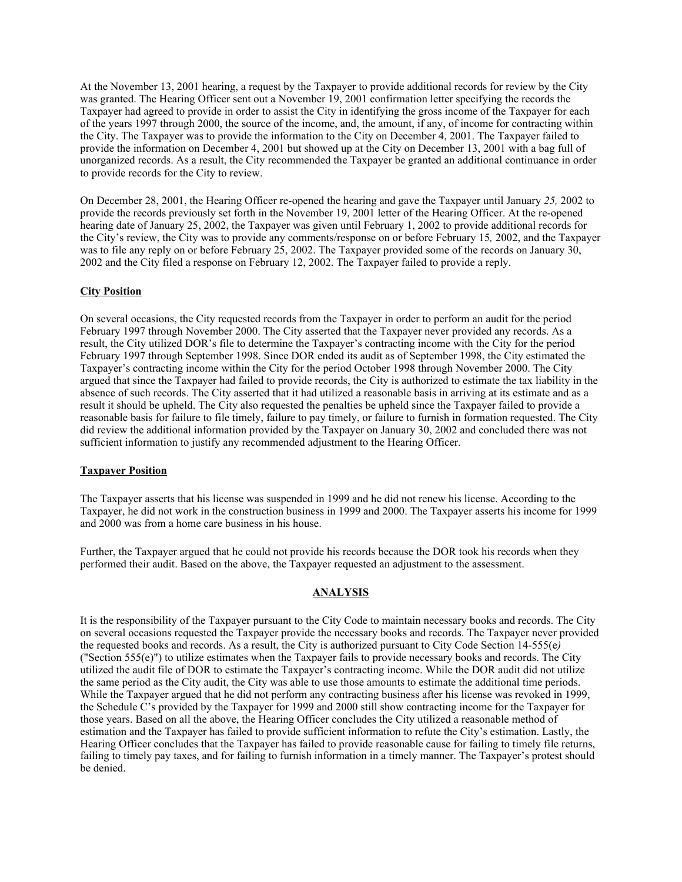At the November 13, 2001 hearing, a request by the Taxpayer to provide additional records for review by the City was granted. The Hearing Officer sent out a November 19, 2001 confirmation letter specifying the records the Taxpayer had agreed to provide in order to assist the City in identifying the gross income of the Taxpayer for each of the years 1997 through 2000, the source of the income, and, the amount, if any, of income for contracting within the City. The Taxpayer was to provide the information to the City on December 4, 2001. The Taxpayer failed to provide the information on December 4, 2001 but showed up at the City on December 13, 2001 with a bag full of unorganized records. As a result, the City recommended the Taxpayer be granted an additional continuance in order to provide records for the City to review.

On December 28, 2001, the Hearing Officer re-opened the hearing and gave the Taxpayer until January *25,* 2002 to provide the records previously set forth in the November 19, 2001 letter of the Hearing Officer. At the re-opened hearing date of January 25, 2002, the Taxpayer was given until February 1, 2002 to provide additional records for the City's review, the City was to provide any comments/response on or before February 15*,* 2002, and the Taxpayer was to file any reply on or before February 25, 2002. The Taxpayer provided some of the records on January 30, 2002 and the City filed a response on February 12, 2002. The Taxpayer failed to provide a reply.

#### **City Position**

On several occasions, the City requested records from the Taxpayer in order to perform an audit for the period February 1997 through November 2000. The City asserted that the Taxpayer never provided any records. As a result, the City utilized DOR's file to determine the Taxpayer's contracting income with the City for the period February 1997 through September 1998. Since DOR ended its audit as of September 1998, the City estimated the Taxpayer's contracting income within the City for the period October 1998 through November 2000. The City argued that since the Taxpayer had failed to provide records, the City is authorized to estimate the tax liability in the absence of such records. The City asserted that it had utilized a reasonable basis in arriving at its estimate and as a result it should be upheld. The City also requested the penalties be upheld since the Taxpayer failed to provide a reasonable basis for failure to file timely, failure to pay timely, or failure to furnish in formation requested. The City did review the additional information provided by the Taxpayer on January 30, 2002 and concluded there was not sufficient information to justify any recommended adjustment to the Hearing Officer.

#### **Taxpayer Position**

The Taxpayer asserts that his license was suspended in 1999 and he did not renew his license. According to the Taxpayer, he did not work in the construction business in 1999 and 2000. The Taxpayer asserts his income for 1999 and 2000 was from a home care business in his house.

Further, the Taxpayer argued that he could not provide his records because the DOR took his records when they performed their audit. Based on the above, the Taxpayer requested an adjustment to the assessment.

#### **ANALYSIS**

It is the responsibility of the Taxpayer pursuant to the City Code to maintain necessary books and records. The City on several occasions requested the Taxpayer provide the necessary books and records. The Taxpayer never provided the requested books and records. As a result, the City is authorized pursuant to City Code Section 14-555(e*)*  ("Section 555(e)") to utilize estimates when the Taxpayer fails to provide necessary books and records. The City utilized the audit file of DOR to estimate the Taxpayer's contracting income. While the DOR audit did not utilize the same period as the City audit, the City was able to use those amounts to estimate the additional time periods. While the Taxpayer argued that he did not perform any contracting business after his license was revoked in 1999, the Schedule C's provided by the Taxpayer for 1999 and 2000 still show contracting income for the Taxpayer for those years. Based on all the above, the Hearing Officer concludes the City utilized a reasonable method of estimation and the Taxpayer has failed to provide sufficient information to refute the City's estimation. Lastly, the Hearing Officer concludes that the Taxpayer has failed to provide reasonable cause for failing to timely file returns, failing to timely pay taxes, and for failing to furnish information in a timely manner. The Taxpayer's protest should be denied.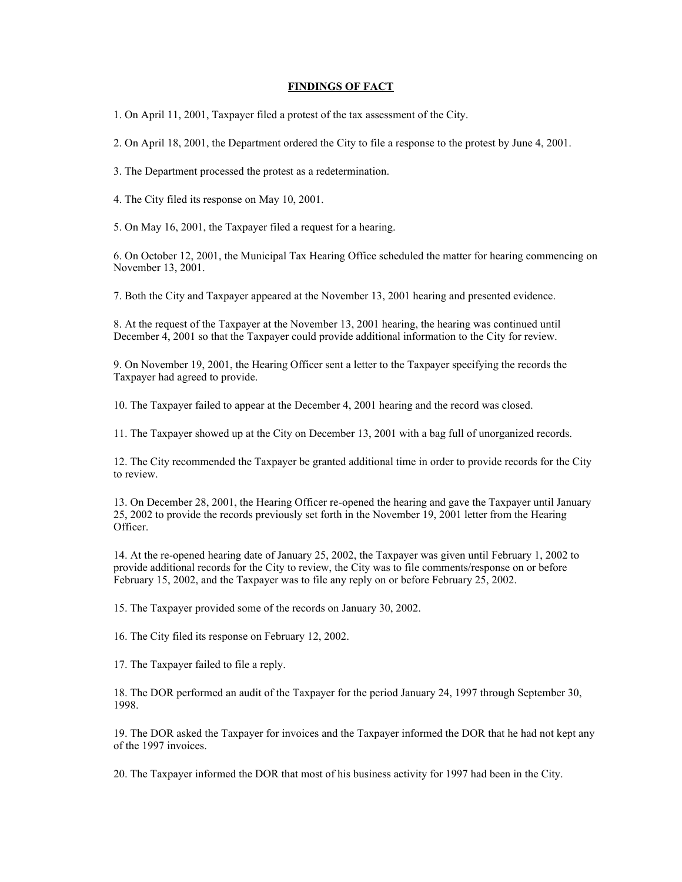#### **FINDINGS OF FACT**

1. On April 11, 2001, Taxpayer filed a protest of the tax assessment of the City.

2. On April 18, 2001, the Department ordered the City to file a response to the protest by June 4, 2001.

3. The Department processed the protest as a redetermination.

4. The City filed its response on May 10, 2001.

5. On May 16, 2001, the Taxpayer filed a request for a hearing.

6. On October 12, 2001, the Municipal Tax Hearing Office scheduled the matter for hearing commencing on November 13, 2001.

7. Both the City and Taxpayer appeared at the November 13, 2001 hearing and presented evidence.

8. At the request of the Taxpayer at the November 13, 2001 hearing, the hearing was continued until December 4, 2001 so that the Taxpayer could provide additional information to the City for review.

9. On November 19, 2001, the Hearing Officer sent a letter to the Taxpayer specifying the records the Taxpayer had agreed to provide.

10. The Taxpayer failed to appear at the December 4, 2001 hearing and the record was closed.

11. The Taxpayer showed up at the City on December 13, 2001 with a bag full of unorganized records.

12. The City recommended the Taxpayer be granted additional time in order to provide records for the City to review.

13. On December 28, 2001, the Hearing Officer re-opened the hearing and gave the Taxpayer until January 25, 2002 to provide the records previously set forth in the November 19, 2001 letter from the Hearing Officer.

14. At the re-opened hearing date of January 25, 2002, the Taxpayer was given until February 1, 2002 to provide additional records for the City to review, the City was to file comments/response on or before February 15, 2002, and the Taxpayer was to file any reply on or before February 25, 2002.

15. The Taxpayer provided some of the records on January 30, 2002.

16. The City filed its response on February 12, 2002.

17. The Taxpayer failed to file a reply.

18. The DOR performed an audit of the Taxpayer for the period January 24, 1997 through September 30, 1998.

19. The DOR asked the Taxpayer for invoices and the Taxpayer informed the DOR that he had not kept any of the 1997 invoices.

20. The Taxpayer informed the DOR that most of his business activity for 1997 had been in the City.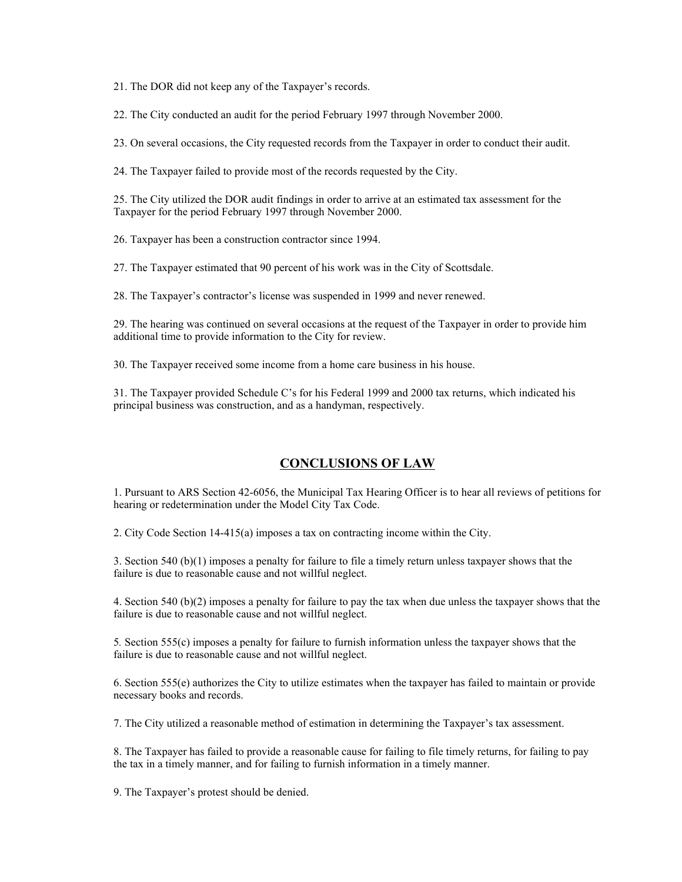21. The DOR did not keep any of the Taxpayer's records.

22. The City conducted an audit for the period February 1997 through November 2000.

23. On several occasions, the City requested records from the Taxpayer in order to conduct their audit.

24. The Taxpayer failed to provide most of the records requested by the City.

25. The City utilized the DOR audit findings in order to arrive at an estimated tax assessment for the Taxpayer for the period February 1997 through November 2000.

26. Taxpayer has been a construction contractor since 1994.

27. The Taxpayer estimated that 90 percent of his work was in the City of Scottsdale.

28. The Taxpayer's contractor's license was suspended in 1999 and never renewed.

29. The hearing was continued on several occasions at the request of the Taxpayer in order to provide him additional time to provide information to the City for review.

30. The Taxpayer received some income from a home care business in his house.

31. The Taxpayer provided Schedule C's for his Federal 1999 and 2000 tax returns, which indicated his principal business was construction, and as a handyman, respectively.

# **CONCLUSIONS OF LAW**

1. Pursuant to ARS Section 42-6056, the Municipal Tax Hearing Officer is to hear all reviews of petitions for hearing or redetermination under the Model City Tax Code.

2. City Code Section 14-415(a) imposes a tax on contracting income within the City.

3. Section 540 (b)(1) imposes a penalty for failure to file a timely return unless taxpayer shows that the failure is due to reasonable cause and not willful neglect.

4. Section 540 (b)(2) imposes a penalty for failure to pay the tax when due unless the taxpayer shows that the failure is due to reasonable cause and not willful neglect.

5*.* Section 555(c) imposes a penalty for failure to furnish information unless the taxpayer shows that the failure is due to reasonable cause and not willful neglect.

6. Section 555(e) authorizes the City to utilize estimates when the taxpayer has failed to maintain or provide necessary books and records.

7. The City utilized a reasonable method of estimation in determining the Taxpayer's tax assessment.

8. The Taxpayer has failed to provide a reasonable cause for failing to file timely returns, for failing to pay the tax in a timely manner, and for failing to furnish information in a timely manner.

9. The Taxpayer's protest should be denied.